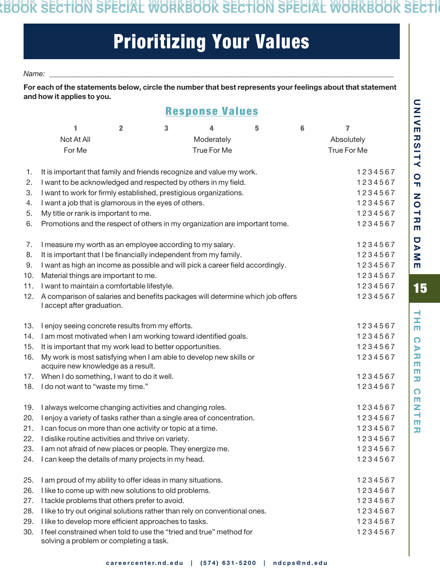### **SPECIAL WORKBOOK SECTION SPECIAL WORKBOOK SECTION SPECIAL WORKBOOK SECTION SPECIAL WORKBOOK SECTION SPECIAL WORKBOOK SECTION SPECIAL WORKBOOK SECTION SPECIAL WORKBOOK SECTION SPECIAL WORKBOOK SECTION SPECIAL WORKBOOK SECTION SPECIAL WORKBOOK SECTION**

# Prioritizing Your Values

#### *Name: \_\_\_\_\_\_\_\_\_\_\_\_\_\_\_\_\_\_\_\_\_\_\_\_\_\_\_\_\_\_\_\_\_\_\_\_\_\_\_\_\_\_\_\_\_\_\_\_\_\_\_\_\_\_\_\_\_\_\_\_\_\_\_\_\_\_\_\_\_\_\_\_\_\_\_\_\_\_\_\_\_\_\_\_\_\_\_\_\_\_\_\_\_*

For each of the statements below, circle the number that best represents your feelings about that statement and how it applies to you.

### Response Values

|     | 1                                                                                                              | $\overline{\mathbf{2}}$ | 3       | 4           | 5 | 6       | 7           |
|-----|----------------------------------------------------------------------------------------------------------------|-------------------------|---------|-------------|---|---------|-------------|
|     | Not At All                                                                                                     |                         |         | Moderately  |   |         | Absolutely  |
|     | For Me                                                                                                         |                         |         | True For Me |   |         | True For Me |
|     |                                                                                                                |                         |         |             |   |         |             |
| 1.  | It is important that family and friends recognize and value my work.                                           |                         | 1234567 |             |   |         |             |
| 2.  | I want to be acknowledged and respected by others in my field.                                                 |                         |         |             |   |         | 1234567     |
| 3.  | I want to work for firmly established, prestigious organizations.                                              |                         |         |             |   | 1234567 |             |
| 4.  | I want a job that is glamorous in the eyes of others.                                                          |                         |         |             |   |         | 1234567     |
| 5.  | My title or rank is important to me.                                                                           |                         |         |             |   |         | 1234567     |
| 6.  | Promotions and the respect of others in my organization are important tome.                                    |                         |         |             |   |         | 1234567     |
| 7.  | I measure my worth as an employee according to my salary.                                                      |                         |         |             |   |         | 1234567     |
| 8.  | It is important that I be financially independent from my family.                                              |                         |         |             |   |         | 1234567     |
| 9.  | I want as high an income as possible and will pick a career field accordingly.                                 |                         |         |             |   |         | 1234567     |
| 10. | Material things are important to me.                                                                           |                         |         |             |   |         | 1234567     |
| 11. | I want to maintain a comfortable lifestyle.                                                                    |                         |         |             |   |         | 1234567     |
| 12. | A comparison of salaries and benefits packages will determine which job offers                                 |                         |         |             |   |         | 1234567     |
|     | I accept after graduation.                                                                                     |                         |         |             |   |         |             |
| 13. | I enjoy seeing concrete results from my efforts.                                                               |                         |         |             |   |         | 1234567     |
| 14. | I am most motivated when I am working toward identified goals.                                                 |                         |         |             |   |         | 1234567     |
| 15. | It is important that my work lead to better opportunities.                                                     |                         |         |             |   |         | 1234567     |
| 16. | My work is most satisfying when I am able to develop new skills or<br>acquire new knowledge as a result.       |                         |         |             |   |         | 1234567     |
| 17. | When I do something, I want to do it well.                                                                     |                         |         |             |   |         | 1234567     |
|     | 18. I do not want to "waste my time."                                                                          |                         |         |             |   |         | 1234567     |
|     |                                                                                                                |                         |         |             |   |         |             |
| 19. | I always welcome changing activities and changing roles.                                                       |                         |         |             |   |         | 1234567     |
| 20. | I enjoy a variety of tasks rather than a single area of concentration.                                         |                         |         |             |   |         | 1234567     |
| 21. | I can focus on more than one activity or topic at a time.                                                      |                         |         |             |   |         | 1234567     |
| 22. | I dislike routine activities and thrive on variety.                                                            |                         |         |             |   |         | 1234567     |
|     | 23. I am not afraid of new places or people. They energize me.                                                 |                         |         |             |   |         | 1234567     |
|     | 24. I can keep the details of many projects in my head.                                                        |                         |         |             |   |         | 1234567     |
| 25. | I am proud of my ability to offer ideas in many situations.                                                    |                         |         |             |   |         | 1234567     |
| 26. | I like to come up with new solutions to old problems.                                                          |                         |         |             |   |         | 1234567     |
| 27. | I tackle problems that others prefer to avoid.                                                                 |                         |         |             |   |         | 1234567     |
| 28. | I like to try out original solutions rather than rely on conventional ones.                                    |                         |         |             |   |         | 1234567     |
| 29. | I like to develop more efficient approaches to tasks.                                                          |                         |         |             |   |         | 1234567     |
| 30. | I feel constrained when told to use the "tried and true" method for<br>solving a problem or completing a task. |                         |         |             |   |         | 1234567     |

 $\overline{\phantom{0}}$ Ξ

刀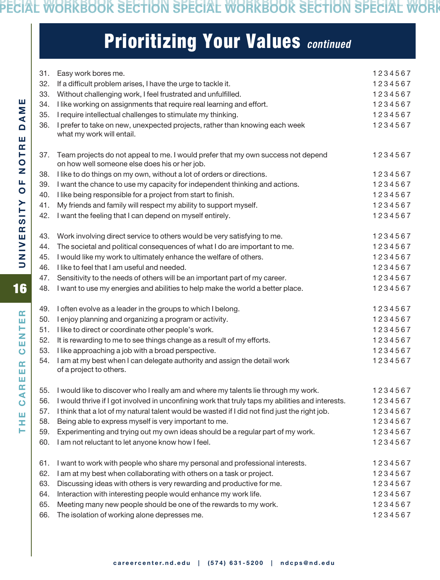**SPECIAL WORKBOOK SECTION SPECIAL WORKBOOK SECTION SPECIAL WORKBOOK SECTION SPECIAL WORKBOOK SECTION SPECIAL WORKBOOK SECTION SPECIAL WORKBOOK SECTION SPECIAL WORKBOOK SECTION SPECIAL WORKBOOK SECTION SPECIAL WORKBOOK SECTION SPECIAL WORKBOOK SECTION**

## Prioritizing Your Values *continued*

| 31. | Easy work bores me.                                                                              | 1234567 |
|-----|--------------------------------------------------------------------------------------------------|---------|
| 32. | If a difficult problem arises, I have the urge to tackle it.                                     | 1234567 |
| 33. | Without challenging work, I feel frustrated and unfulfilled.                                     | 1234567 |
| 34. | I like working on assignments that require real learning and effort.                             | 1234567 |
| 35. | I require intellectual challenges to stimulate my thinking.                                      | 1234567 |
| 36. | I prefer to take on new, unexpected projects, rather than knowing each week                      | 1234567 |
|     | what my work will entail.                                                                        |         |
| 37. | Team projects do not appeal to me. I would prefer that my own success not depend                 | 1234567 |
|     | on how well someone else does his or her job.                                                    |         |
| 38. | I like to do things on my own, without a lot of orders or directions.                            | 1234567 |
| 39. | I want the chance to use my capacity for independent thinking and actions.                       | 1234567 |
| 40. | I like being responsible for a project from start to finish.                                     | 1234567 |
| 41. | My friends and family will respect my ability to support myself.                                 | 1234567 |
| 42. | I want the feeling that I can depend on myself entirely.                                         | 1234567 |
| 43. | Work involving direct service to others would be very satisfying to me.                          | 1234567 |
| 44. | The societal and political consequences of what I do are important to me.                        | 1234567 |
| 45. | I would like my work to ultimately enhance the welfare of others.                                | 1234567 |
| 46. | I like to feel that I am useful and needed.                                                      | 1234567 |
| 47. | Sensitivity to the needs of others will be an important part of my career.                       | 1234567 |
| 48. | I want to use my energies and abilities to help make the world a better place.                   | 1234567 |
| 49. | I often evolve as a leader in the groups to which I belong.                                      | 1234567 |
| 50. | I enjoy planning and organizing a program or activity.                                           | 1234567 |
| 51. | I like to direct or coordinate other people's work.                                              | 1234567 |
| 52. | It is rewarding to me to see things change as a result of my efforts.                            | 1234567 |
| 53. | I like approaching a job with a broad perspective.                                               | 1234567 |
| 54. | I am at my best when I can delegate authority and assign the detail work                         | 1234567 |
|     | of a project to others.                                                                          |         |
|     | 55. I would like to discover who I really am and where my talents lie through my work.           | 1234567 |
| 56. | I would thrive if I got involved in unconfining work that truly taps my abilities and interests. | 1234567 |
| 57. | I think that a lot of my natural talent would be wasted if I did not find just the right job.    | 1234567 |
| 58. | Being able to express myself is very important to me.                                            | 1234567 |
| 59. | Experimenting and trying out my own ideas should be a regular part of my work.                   | 1234567 |
| 60. | I am not reluctant to let anyone know how I feel.                                                | 1234567 |
| 61. | I want to work with people who share my personal and professional interests.                     | 1234567 |
| 62. | I am at my best when collaborating with others on a task or project.                             | 1234567 |
| 63. | Discussing ideas with others is very rewarding and productive for me.                            | 1234567 |
| 64. | Interaction with interesting people would enhance my work life.                                  | 1234567 |
| 65. | Meeting many new people should be one of the rewards to my work.                                 | 1234567 |
| 66. | The isolation of working alone depresses me.                                                     | 1234567 |